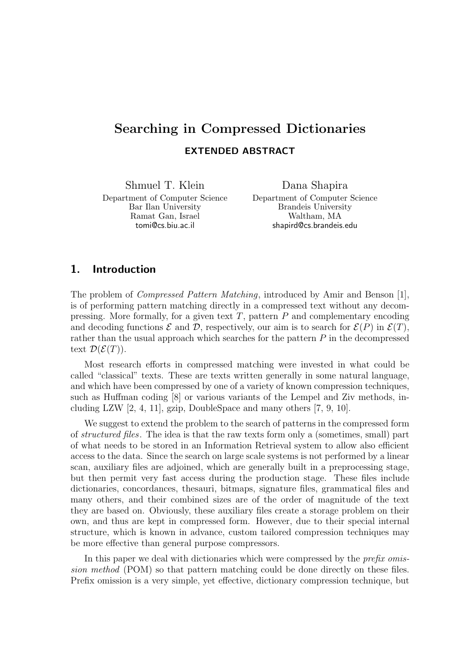# Searching in Compressed Dictionaries EXTENDED ABSTRACT

Shmuel T. Klein

Department of Computer Science Bar Ilan University Ramat Gan, Israel tomi@cs.biu.ac.il

Dana Shapira

Department of Computer Science Brandeis University Waltham, MA shapird@cs.brandeis.edu

#### 1. Introduction

The problem of Compressed Pattern Matching, introduced by Amir and Benson [1], is of performing pattern matching directly in a compressed text without any decompressing. More formally, for a given text  $T$ , pattern  $P$  and complementary encoding and decoding functions  $\mathcal E$  and  $\mathcal D$ , respectively, our aim is to search for  $\mathcal E(P)$  in  $\mathcal E(T)$ , rather than the usual approach which searches for the pattern  $P$  in the decompressed text  $\mathcal{D}(\mathcal{E}(T)).$ 

Most research efforts in compressed matching were invested in what could be called "classical" texts. These are texts written generally in some natural language, and which have been compressed by one of a variety of known compression techniques, such as Huffman coding [8] or various variants of the Lempel and Ziv methods, including LZW [2, 4, 11], gzip, DoubleSpace and many others [7, 9, 10].

We suggest to extend the problem to the search of patterns in the compressed form of structured files. The idea is that the raw texts form only a (sometimes, small) part of what needs to be stored in an Information Retrieval system to allow also efficient access to the data. Since the search on large scale systems is not performed by a linear scan, auxiliary files are adjoined, which are generally built in a preprocessing stage, but then permit very fast access during the production stage. These files include dictionaries, concordances, thesauri, bitmaps, signature files, grammatical files and many others, and their combined sizes are of the order of magnitude of the text they are based on. Obviously, these auxiliary files create a storage problem on their own, and thus are kept in compressed form. However, due to their special internal structure, which is known in advance, custom tailored compression techniques may be more effective than general purpose compressors.

In this paper we deal with dictionaries which were compressed by the *prefix omis*sion method (POM) so that pattern matching could be done directly on these files. Prefix omission is a very simple, yet effective, dictionary compression technique, but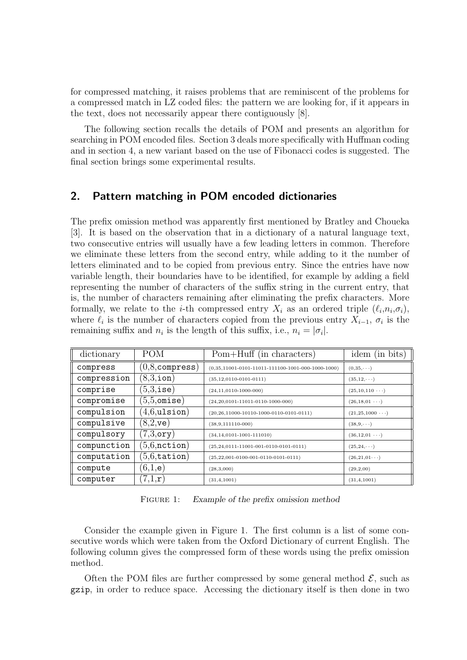for compressed matching, it raises problems that are reminiscent of the problems for a compressed match in LZ coded files: the pattern we are looking for, if it appears in the text, does not necessarily appear there contiguously [8].

The following section recalls the details of POM and presents an algorithm for searching in POM encoded files. Section 3 deals more specifically with Huffman coding and in section 4, a new variant based on the use of Fibonacci codes is suggested. The final section brings some experimental results.

#### 2. Pattern matching in POM encoded dictionaries

The prefix omission method was apparently first mentioned by Bratley and Choueka [3]. It is based on the observation that in a dictionary of a natural language text, two consecutive entries will usually have a few leading letters in common. Therefore we eliminate these letters from the second entry, while adding to it the number of letters eliminated and to be copied from previous entry. Since the entries have now variable length, their boundaries have to be identified, for example by adding a field representing the number of characters of the suffix string in the current entry, that is, the number of characters remaining after eliminating the prefix characters. More formally, we relate to the *i*-th compressed entry  $X_i$  as an ordered triple  $(\ell_i, n_i, \sigma_i)$ , where  $\ell_i$  is the number of characters copied from the previous entry  $X_{i-1}$ ,  $\sigma_i$  is the remaining suffix and  $n_i$  is the length of this suffix, i.e.,  $n_i = |\sigma_i|$ .

| dictionary  | <b>POM</b>              | Pom+Huff (in characters)                              | $(in \; bits)$<br>idem  |
|-------------|-------------------------|-------------------------------------------------------|-------------------------|
| compress    | $(0,8,\hbox{compress})$ | $(0,35,11001-0101-11011-111100-1001-000-1000-1000)$   | $(0,35,\cdots)$         |
| compression | $(8,3,\texttt{ion})$    | $(35, 12, 0110 - 0101 - 0111)$                        | $(35, 12, \cdots)$      |
| comprise    | $(5,3,{\tt ise})$       | $(24, 11, 0110 - 1000 - 000)$                         | $(25,10,110 \cdots)$    |
| compromise  | $(5,5, \mathtt{omise})$ | $(24,20,0101-11011-0110-1000-000)$                    | $(26, 18, 01 \cdots)$   |
| compulsion  | $(4,6,$ ulsion $)$      | $(20, 26, 11000 - 10110 - 1000 - 0110 - 0101 - 0111)$ | $(21, 25, 1000 \cdots)$ |
| compulsive  | $(8,2,$ ve $)$          | $(38,9,111110-000)$                                   | $(38, 9, \cdots)$       |
| compulsory  | $7,3,$ ory $)$          | $(34, 14, 0101 - 1001 - 111010)$                      | $(36, 12, 01 \cdots)$   |
| compunction | $(5,6,$ nction $)$      | $(25, 24, 0111 - 11001 - 001 - 0110 - 0101 - 0111)$   | $(25, 24, \cdots)$      |
| computation | $(5,6,\mathtt{tation})$ | $(25,22,001-0100-001-0110-0101-0111)$                 | $(26,21,01\cdots)$      |
| compute     | $(6,1,\mathsf{e})$      | (28,3,000)                                            | (29,2,00)               |
| computer    | 7,1,r                   | (31, 4, 1001)                                         | (31, 4, 1001)           |

FIGURE 1: Example of the prefix omission method

Consider the example given in Figure 1. The first column is a list of some consecutive words which were taken from the Oxford Dictionary of current English. The following column gives the compressed form of these words using the prefix omission method.

Often the POM files are further compressed by some general method  $\mathcal{E}$ , such as gzip, in order to reduce space. Accessing the dictionary itself is then done in two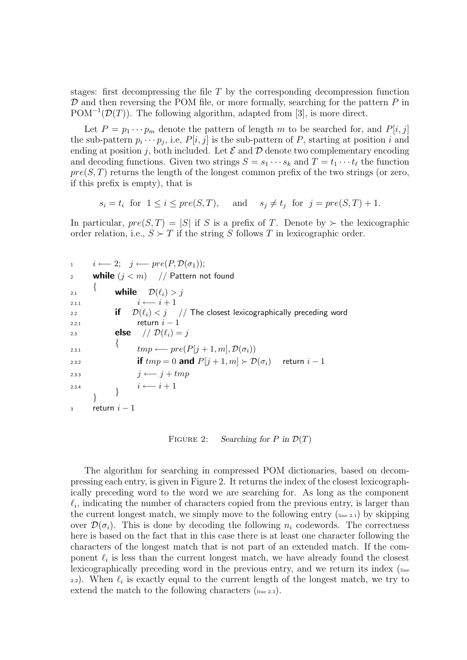stages: first decompressing the file  $T$  by the corresponding decompression function  $\mathcal D$  and then reversing the POM file, or more formally, searching for the pattern  $P$  in  $POM^{-1}(\mathcal{D}(T))$ . The following algorithm, adapted from [3], is more direct.

Let  $P = p_1 \cdots p_m$  denote the pattern of length m to be searched for, and  $P[i, j]$ the sub-pattern  $p_i \cdots p_j$ , i.e,  $P[i, j]$  is the sub-pattern of P, starting at position i and ending at position j, both included. Let  $\mathcal E$  and  $\mathcal D$  denote two complementary encoding and decoding functions. Given two strings  $S = s_1 \cdots s_k$  and  $T = t_1 \cdots t_\ell$  the function  $pre(S, T)$  returns the length of the longest common prefix of the two strings (or zero, if this prefix is empty), that is

$$
s_i = t_i
$$
 for  $1 \le i \le pre(S,T)$ , and  $s_j \ne t_j$  for  $j = pre(S,T) + 1$ .

In particular,  $pre(S, T) = |S|$  if S is a prefix of T. Denote by  $\succ$  the lexicographic order relation, i.e.,  $S \succ T$  if the string S follows T in lexicographic order.

$$
i \leftarrow 2; \quad j \leftarrow pre(P, \mathcal{D}(\sigma_1));
$$
\n
$$
i \leftarrow 2; \quad j \leftarrow pre(P, \mathcal{D}(\sigma_1));
$$
\n
$$
i \leftarrow i + 1
$$
\n
$$
i \leftarrow i + 1
$$
\n
$$
i \leftarrow i + 1
$$
\n
$$
i \leftarrow i + 1
$$
\n
$$
i \leftarrow i + 1
$$
\n
$$
i \leftarrow i + 1
$$
\n
$$
i \leftarrow j \quad // \text{ The closest lexicographically preceding word return } i - 1
$$
\n
$$
i \leftarrow j + 1
$$
\n
$$
i \leftarrow pre(P[j + 1, m], \mathcal{D}(\sigma_i))
$$
\n
$$
i \leftarrow j + tmp
$$
\n
$$
i \leftarrow i + 1
$$
\n
$$
i \leftarrow i + 1
$$
\n
$$
i \leftarrow i + 1
$$
\n
$$
i \leftarrow i + 1
$$
\n
$$
i \leftarrow i + 1
$$
\n
$$
i \leftarrow i + 1
$$
\n
$$
i \leftarrow i + 1
$$
\n
$$
i \leftarrow i + 1
$$
\n
$$
i \leftarrow i + 1
$$
\n
$$
i \leftarrow i + 1
$$
\n
$$
i \leftarrow i + 1
$$
\n
$$
i \leftarrow i + 1
$$
\n
$$
i \leftarrow i + 1
$$
\n
$$
i \leftarrow i + 1
$$

FIGURE 2: Searching for P in  $\mathcal{D}(T)$ 

The algorithm for searching in compressed POM dictionaries, based on decompressing each entry, is given in Figure 2. It returns the index of the closest lexicographically preceding word to the word we are searching for. As long as the component  $\ell_i$ , indicating the number of characters copied from the previous entry, is larger than the current longest match, we simply move to the following entry  $(\mathbf{I}_{\text{line 2.1}})$  by skipping over  $\mathcal{D}(\sigma_i)$ . This is done by decoding the following  $n_i$  codewords. The correctness here is based on the fact that in this case there is at least one character following the characters of the longest match that is not part of an extended match. If the component  $\ell_i$  is less than the current longest match, we have already found the closest lexicographically preceding word in the previous entry, and we return its index (line 2.2). When  $\ell_i$  is exactly equal to the current length of the longest match, we try to extend the match to the following characters  $(\mathbf{I}_{\text{line 2.3}})$ .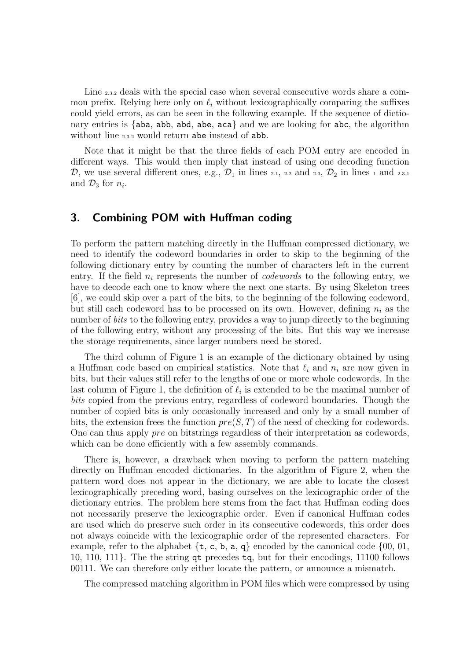Line 2.3.2 deals with the special case when several consecutive words share a common prefix. Relying here only on  $\ell_i$  without lexicographically comparing the suffixes could yield errors, as can be seen in the following example. If the sequence of dictionary entries is  $\{aba, abb, abd, abe, aca\}$  and we are looking for abc, the algorithm without line 2.3.2 would return abe instead of abb.

Note that it might be that the three fields of each POM entry are encoded in different ways. This would then imply that instead of using one decoding function  $\mathcal{D}$ , we use several different ones, e.g.,  $\mathcal{D}_1$  in lines 2.1, 2.2 and 2.3,  $\mathcal{D}_2$  in lines 1 and 2.3.1 and  $\mathcal{D}_3$  for  $n_i$ .

## 3. Combining POM with Huffman coding

To perform the pattern matching directly in the Huffman compressed dictionary, we need to identify the codeword boundaries in order to skip to the beginning of the following dictionary entry by counting the number of characters left in the current entry. If the field  $n_i$  represents the number of *codewords* to the following entry, we have to decode each one to know where the next one starts. By using Skeleton trees [6], we could skip over a part of the bits, to the beginning of the following codeword, but still each codeword has to be processed on its own. However, defining  $n_i$  as the number of *bits* to the following entry, provides a way to jump directly to the beginning of the following entry, without any processing of the bits. But this way we increase the storage requirements, since larger numbers need be stored.

The third column of Figure 1 is an example of the dictionary obtained by using a Huffman code based on empirical statistics. Note that  $\ell_i$  and  $n_i$  are now given in bits, but their values still refer to the lengths of one or more whole codewords. In the last column of Figure 1, the definition of  $\ell_i$  is extended to be the maximal number of bits copied from the previous entry, regardless of codeword boundaries. Though the number of copied bits is only occasionally increased and only by a small number of bits, the extension frees the function  $pre(S, T)$  of the need of checking for codewords. One can thus apply pre on bitstrings regardless of their interpretation as codewords, which can be done efficiently with a few assembly commands.

There is, however, a drawback when moving to perform the pattern matching directly on Huffman encoded dictionaries. In the algorithm of Figure 2, when the pattern word does not appear in the dictionary, we are able to locate the closest lexicographically preceding word, basing ourselves on the lexicographic order of the dictionary entries. The problem here stems from the fact that Huffman coding does not necessarily preserve the lexicographic order. Even if canonical Huffman codes are used which do preserve such order in its consecutive codewords, this order does not always coincide with the lexicographic order of the represented characters. For example, refer to the alphabet  $\{t, c, b, a, q\}$  encoded by the canonical code  $\{00, 01,$ 10, 110, 111}. The the string qt precedes tq, but for their encodings, 11100 follows 00111. We can therefore only either locate the pattern, or announce a mismatch.

The compressed matching algorithm in POM files which were compressed by using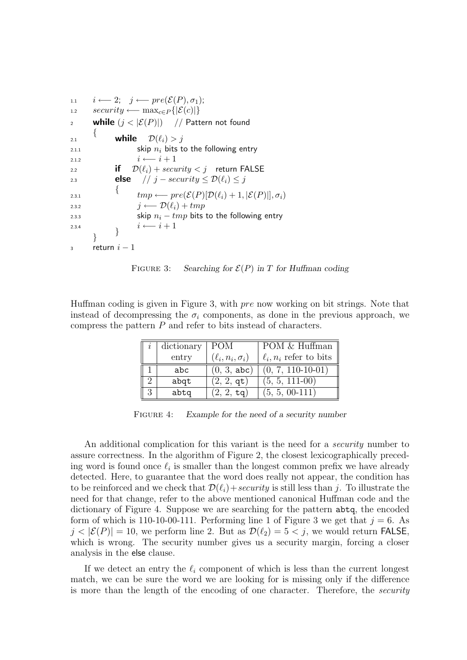```
1.1 i \leftarrow 2; j \leftarrow pre(\mathcal{E}(P), \sigma_1);1.2 security ← max_{c \in P} \{|\mathcal{E}(c)|\}2 while (j < |\mathcal{E}(P)|) // Pattern not found
       {
2.1 while \mathcal{D}(\ell_i) > i2.1.1 skip n_i bits to the following entry
2.1.2 i \leftarrow i + 12.2 if \mathcal{D}(\ell_i) + \text{security} < i return FALSE
2.3 else // j – security \leq \mathcal{D}(\ell_i) \leq j\{2.3.1 tmp \leftarrow pre(\mathcal{E}(P)[\mathcal{D}(\ell_i) + 1, |\mathcal{E}(P)|], \sigma_i)2.3.2 j \leftarrow \mathcal{D}(\ell_i) + tmp2.3.3 skip n_i - tmp bits to the following entry
2.3.4 \qquad \qquad i \longleftarrow i + 1}
3 return i-1
```


Huffman coding is given in Figure 3, with pre now working on bit strings. Note that instead of decompressing the  $\sigma_i$  components, as done in the previous approach, we compress the pattern P and refer to bits instead of characters.

| dictionary | POM                       | POM & Huffman               |
|------------|---------------------------|-----------------------------|
| entry      | $(\ell_i, n_i, \sigma_i)$ | $\ell_i, n_i$ refer to bits |
| abc        | (0, 3, abc)               | $(0, 7, 110 - 10 - 01)$     |
| abqt       | $(2, 2, \texttt{qt})$     | $(5, 5, 111-00)$            |
| abtq       | $(2, 2, \texttt{tq})$     | $(5, 5, 00-111)$            |

FIGURE 4: Example for the need of a security number

An additional complication for this variant is the need for a *security* number to assure correctness. In the algorithm of Figure 2, the closest lexicographically preceding word is found once  $\ell_i$  is smaller than the longest common prefix we have already detected. Here, to guarantee that the word does really not appear, the condition has to be reinforced and we check that  $\mathcal{D}(\ell_i)+\mathit{security}$  is still less than j. To illustrate the need for that change, refer to the above mentioned canonical Huffman code and the dictionary of Figure 4. Suppose we are searching for the pattern abtq, the encoded form of which is 110-10-00-111. Performing line 1 of Figure 3 we get that  $j = 6$ . As  $j < |\mathcal{E}(P)| = 10$ , we perform line 2. But as  $\mathcal{D}(\ell_2) = 5 < j$ , we would return FALSE, which is wrong. The security number gives us a security margin, forcing a closer analysis in the else clause.

If we detect an entry the  $\ell_i$  component of which is less than the current longest match, we can be sure the word we are looking for is missing only if the difference is more than the length of the encoding of one character. Therefore, the *security*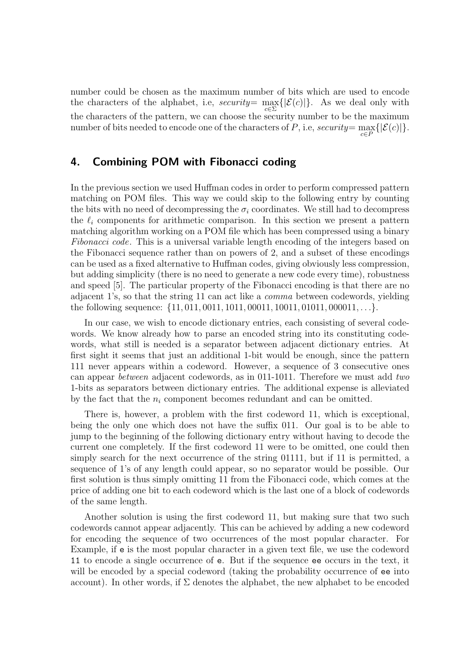number could be chosen as the maximum number of bits which are used to encode the characters of the alphabet, i.e, security=  $\max_{c \in \Sigma} \{|\mathcal{E}(c)|\}$ . As we deal only with the characters of the pattern, we can choose the security number to be the maximum number of bits needed to encode one of the characters of  $P$ , i.e, security=  $\max_{c \in P} \{|\mathcal{E}(c)|\}.$ 

#### 4. Combining POM with Fibonacci coding

In the previous section we used Huffman codes in order to perform compressed pattern matching on POM files. This way we could skip to the following entry by counting the bits with no need of decompressing the  $\sigma_i$  coordinates. We still had to decompress the  $\ell_i$  components for arithmetic comparison. In this section we present a pattern matching algorithm working on a POM file which has been compressed using a binary Fibonacci code. This is a universal variable length encoding of the integers based on the Fibonacci sequence rather than on powers of 2, and a subset of these encodings can be used as a fixed alternative to Huffman codes, giving obviously less compression, but adding simplicity (there is no need to generate a new code every time), robustness and speed [5]. The particular property of the Fibonacci encoding is that there are no adjacent 1's, so that the string 11 can act like a comma between codewords, yielding the following sequence: {11, 011, 0011, 1011, 00011, 10011, 01011, 000011, . . .}.

In our case, we wish to encode dictionary entries, each consisting of several codewords. We know already how to parse an encoded string into its constituting codewords, what still is needed is a separator between adjacent dictionary entries. At first sight it seems that just an additional 1-bit would be enough, since the pattern 111 never appears within a codeword. However, a sequence of 3 consecutive ones can appear between adjacent codewords, as in 011-1011. Therefore we must add two 1-bits as separators between dictionary entries. The additional expense is alleviated by the fact that the  $n_i$  component becomes redundant and can be omitted.

There is, however, a problem with the first codeword 11, which is exceptional, being the only one which does not have the suffix 011. Our goal is to be able to jump to the beginning of the following dictionary entry without having to decode the current one completely. If the first codeword 11 were to be omitted, one could then simply search for the next occurrence of the string 01111, but if 11 is permitted, a sequence of 1's of any length could appear, so no separator would be possible. Our first solution is thus simply omitting 11 from the Fibonacci code, which comes at the price of adding one bit to each codeword which is the last one of a block of codewords of the same length.

Another solution is using the first codeword 11, but making sure that two such codewords cannot appear adjacently. This can be achieved by adding a new codeword for encoding the sequence of two occurrences of the most popular character. For Example, if e is the most popular character in a given text file, we use the codeword 11 to encode a single occurrence of e. But if the sequence ee occurs in the text, it will be encoded by a special codeword (taking the probability occurrence of ee into account). In other words, if  $\Sigma$  denotes the alphabet, the new alphabet to be encoded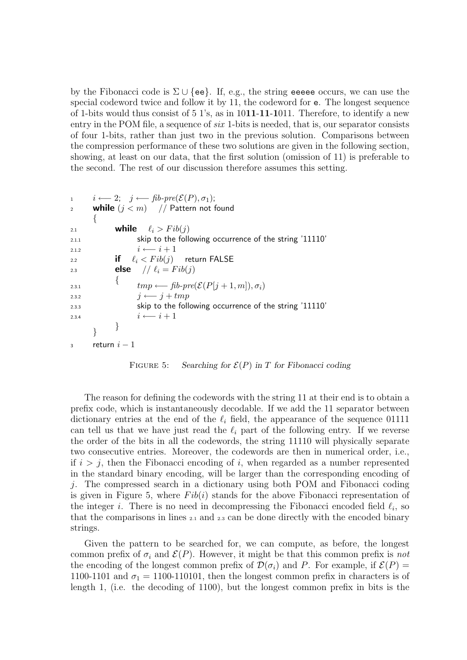by the Fibonacci code is  $\Sigma \cup \{ee\}$ . If, e.g., the string eeeee occurs, we can use the special codeword twice and follow it by 11, the codeword for e. The longest sequence of 1-bits would thus consist of  $5 \frac{1}{s}$ , as in 1011-11-1011. Therefore, to identify a new entry in the POM file, a sequence of *six* 1-bits is needed, that is, our separator consists of four 1-bits, rather than just two in the previous solution. Comparisons between the compression performance of these two solutions are given in the following section, showing, at least on our data, that the first solution (omission of 11) is preferable to the second. The rest of our discussion therefore assumes this setting.

```
1 i \leftarrow 2; j \leftarrow \text{fib-pre}(\mathcal{E}(P), \sigma_1);2 while (j < m) // Pattern not found
      \{2.1 while \ell_i > Fib(i)2.1.1 skip to the following occurrence of the string '11110'
2.1.2 i \leftarrow i + 12.2 if \ell_i < Fib(j) return FALSE
2.3 else // \ell_i = Fib(j)\{2.3.1 \lim_{p \to \infty} \mathcal{L} = \int_{0}^{\infty} \mathcal{L} \{ p[j+1,m], \sigma_i \}2.3.2 j \leftarrow j + tmp2.3.3 skip to the following occurrence of the string '11110'
2.3.4 i \leftarrow i + 1}
      }
3 return i-1
```
FIGURE 5: Searching for  $\mathcal{E}(P)$  in T for Fibonacci coding

The reason for defining the codewords with the string 11 at their end is to obtain a prefix code, which is instantaneously decodable. If we add the 11 separator between dictionary entries at the end of the  $\ell_i$  field, the appearance of the sequence 01111 can tell us that we have just read the  $\ell_i$  part of the following entry. If we reverse the order of the bits in all the codewords, the string 11110 will physically separate two consecutive entries. Moreover, the codewords are then in numerical order, i.e., if  $i > j$ , then the Fibonacci encoding of i, when regarded as a number represented in the standard binary encoding, will be larger than the corresponding encoding of *j*. The compressed search in a dictionary using both POM and Fibonacci coding is given in Figure 5, where  $Fib(i)$  stands for the above Fibonacci representation of the integer *i*. There is no need in decompressing the Fibonacci encoded field  $\ell_i$ , so that the comparisons in lines 2.1 and 2.3 can be done directly with the encoded binary strings.

Given the pattern to be searched for, we can compute, as before, the longest common prefix of  $\sigma_i$  and  $\mathcal{E}(P)$ . However, it might be that this common prefix is not the encoding of the longest common prefix of  $\mathcal{D}(\sigma_i)$  and P. For example, if  $\mathcal{E}(P)$  = 1100-1101 and  $\sigma_1 = 1100$ -110101, then the longest common prefix in characters is of length 1, (i.e. the decoding of 1100), but the longest common prefix in bits is the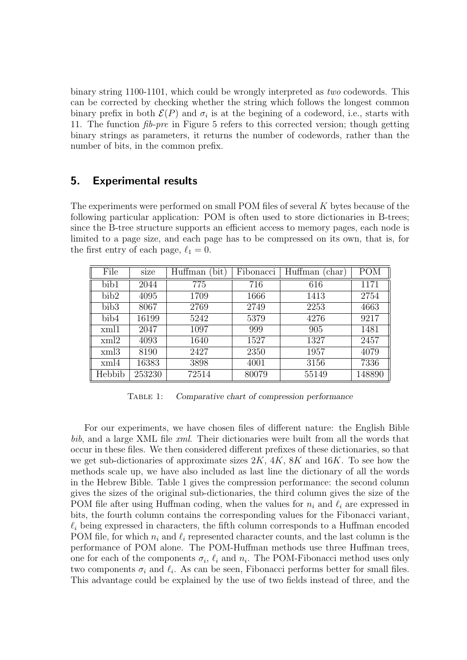binary string 1100-1101, which could be wrongly interpreted as two codewords. This can be corrected by checking whether the string which follows the longest common binary prefix in both  $\mathcal{E}(P)$  and  $\sigma_i$  is at the begining of a codeword, i.e., starts with 11. The function fib-pre in Figure 5 refers to this corrected version; though getting binary strings as parameters, it returns the number of codewords, rather than the number of bits, in the common prefix.

### 5. Experimental results

The experiments were performed on small POM files of several K bytes because of the following particular application: POM is often used to store dictionaries in B-trees; since the B-tree structure supports an efficient access to memory pages, each node is limited to a page size, and each page has to be compressed on its own, that is, for the first entry of each page,  $\ell_1 = 0$ .

| File             | $\cdot$<br>size | Huffman<br>bit) | Fibonacci | Huffman<br>char <sup>'</sup> | <b>POM</b> |
|------------------|-----------------|-----------------|-----------|------------------------------|------------|
| bib1             | 2044            | 775             | 716       | 616                          | 1171       |
| bib2             | 4095            | 1709            | 1666      | 1413                         | 2754       |
| bib <sub>3</sub> | 8067            | 2769            | 2749      | 2253                         | 4663       |
| bib4             | 16199           | 5242            | 5379      | 4276                         | 9217       |
| xml1             | 2047            | 1097            | 999       | 905                          | 1481       |
| xml2             | 4093            | 1640            | 1527      | 1327                         | 2457       |
| xml3             | 8190            | 2427            | 2350      | 1957                         | 4079       |
| xml4             | 16383           | 3898            | 4001      | 3156                         | 7336       |
| Hebbib           | 253230          | 72514           | 80079     | 55149                        | 148890     |

Table 1: Comparative chart of compression performance

For our experiments, we have chosen files of different nature: the English Bible bib, and a large XML file xml. Their dictionaries were built from all the words that occur in these files. We then considered different prefixes of these dictionaries, so that we get sub-dictionaries of approximate sizes  $2K$ ,  $4K$ ,  $8K$  and  $16K$ . To see how the methods scale up, we have also included as last line the dictionary of all the words in the Hebrew Bible. Table 1 gives the compression performance: the second column gives the sizes of the original sub-dictionaries, the third column gives the size of the POM file after using Huffman coding, when the values for  $n_i$  and  $\ell_i$  are expressed in bits, the fourth column contains the corresponding values for the Fibonacci variant,  $\ell_i$  being expressed in characters, the fifth column corresponds to a Huffman encoded POM file, for which  $n_i$  and  $\ell_i$  represented character counts, and the last column is the performance of POM alone. The POM-Huffman methods use three Huffman trees, one for each of the components  $\sigma_i$ ,  $\ell_i$  and  $n_i$ . The POM-Fibonacci method uses only two components  $\sigma_i$  and  $\ell_i$ . As can be seen, Fibonacci performs better for small files. This advantage could be explained by the use of two fields instead of three, and the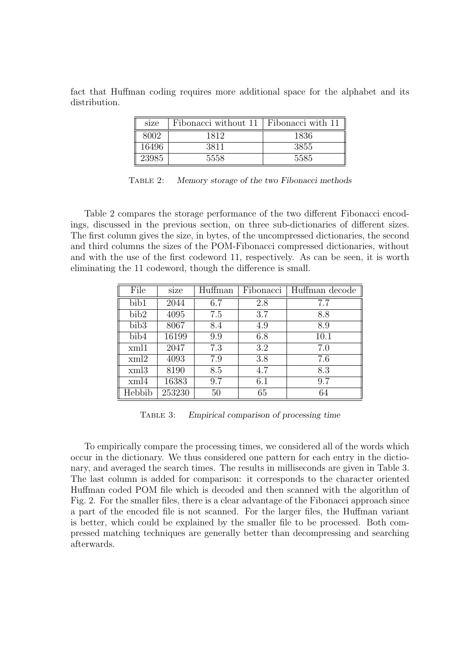fact that Huffman coding requires more additional space for the alphabet and its distribution.

| size  | Fibonacci without 11   Fibonacci with 11 |      |
|-------|------------------------------------------|------|
| 8002  | 1819                                     | 1836 |
| 16496 |                                          | 3855 |
| 23985 | 5558                                     | 5585 |

Table 2: Memory storage of the two Fibonacci methods

Table 2 compares the storage performance of the two different Fibonacci encodings, discussed in the previous section, on three sub-dictionaries of different sizes. The first column gives the size, in bytes, of the uncompressed dictionaries, the second and third columns the sizes of the POM-Fibonacci compressed dictionaries, without and with the use of the first codeword 11, respectively. As can be seen, it is worth eliminating the 11 codeword, though the difference is small.

| File             | size   | Huffman | Fibonacci | Huffman decode |
|------------------|--------|---------|-----------|----------------|
| bib1             | 2044   | 6.7     | 2.8       | 7.7            |
| bib2             | 4095   | 7.5     | 3.7       | 8.8            |
| bib <sub>3</sub> | 8067   | 8.4     | 4.9       | 8.9            |
| bib4             | 16199  | 9.9     | 6.8       | 10.1           |
| xml1             | 2047   | 7.3     | 3.2       | 7.0            |
| xml2             | 4093   | 7.9     | 3.8       | 7.6            |
| xml3             | 8190   | 8.5     | 4.7       | 8.3            |
| xml4             | 16383  | 9.7     | 6.1       | 9.7            |
| Hebbib           | 253230 | 50      | 65        | 64             |

Table 3: Empirical comparison of processing time

To empirically compare the processing times, we considered all of the words which occur in the dictionary. We thus considered one pattern for each entry in the dictionary, and averaged the search times. The results in milliseconds are given in Table 3. The last column is added for comparison: it corresponds to the character oriented Huffman coded POM file which is decoded and then scanned with the algorithm of Fig. 2. For the smaller files, there is a clear advantage of the Fibonacci approach since a part of the encoded file is not scanned. For the larger files, the Huffman variant is better, which could be explained by the smaller file to be processed. Both compressed matching techniques are generally better than decompressing and searching afterwards.